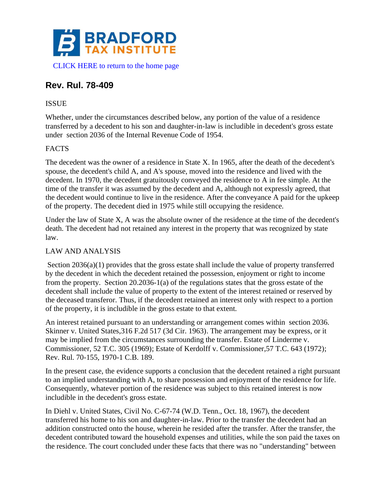

# **Rev. Rul. 78-409**

## ISSUE

Whether, under the circumstances described below, any portion of the value of a residence transferred by a decedent to his son and daughter-in-law is includible in decedent's gross estate under section 2036 of the Internal Revenue Code of 1954.

### FACTS

The decedent was the owner of a residence in State X. In 1965, after the death of the decedent's spouse, the decedent's child A, and A's spouse, moved into the residence and lived with the decedent. In 1970, the decedent gratuitously conveyed the residence to A in fee simple. At the time of the transfer it was assumed by the decedent and A, although not expressly agreed, that the decedent would continue to live in the residence. After the conveyance A paid for the upkeep of the property. The decedent died in 1975 while still occupying the residence.

Under the law of State X, A was the absolute owner of the residence at the time of the decedent's death. The decedent had not retained any interest in the property that was recognized by state law.

### LAW AND ANALYSIS

Section 2036(a)(1) provides that the gross estate shall include the value of property transferred by the decedent in which the decedent retained the possession, enjoyment or right to income from the property. Section 20.2036-1(a) of the regulations states that the gross estate of the decedent shall include the value of property to the extent of the interest retained or reserved by the deceased transferor. Thus, if the decedent retained an interest only with respect to a portion of the property, it is includible in the gross estate to that extent.

An interest retained pursuant to an understanding or arrangement comes within section 2036. Skinner v. United States,316 F.2d 517 (3d Cir. 1963). The arrangement may be express, or it may be implied from the circumstances surrounding the transfer. Estate of Linderme v. Commissioner, 52 T.C. 305 (1969); Estate of Kerdolff v. Commissioner,57 T.C. 643 (1972); Rev. Rul. 70-155, 1970-1 C.B. 189.

In the present case, the evidence supports a conclusion that the decedent retained a right pursuant to an implied understanding with A, to share possession and enjoyment of the residence for life. Consequently, whatever portion of the residence was subject to this retained interest is now includible in the decedent's gross estate.

In Diehl v. United States, Civil No. C-67-74 (W.D. Tenn., Oct. 18, 1967), the decedent transferred his home to his son and daughter-in-law. Prior to the transfer the decedent had an addition constructed onto the house, wherein he resided after the transfer. After the transfer, the decedent contributed toward the household expenses and utilities, while the son paid the taxes on the residence. The court concluded under these facts that there was no "understanding" between